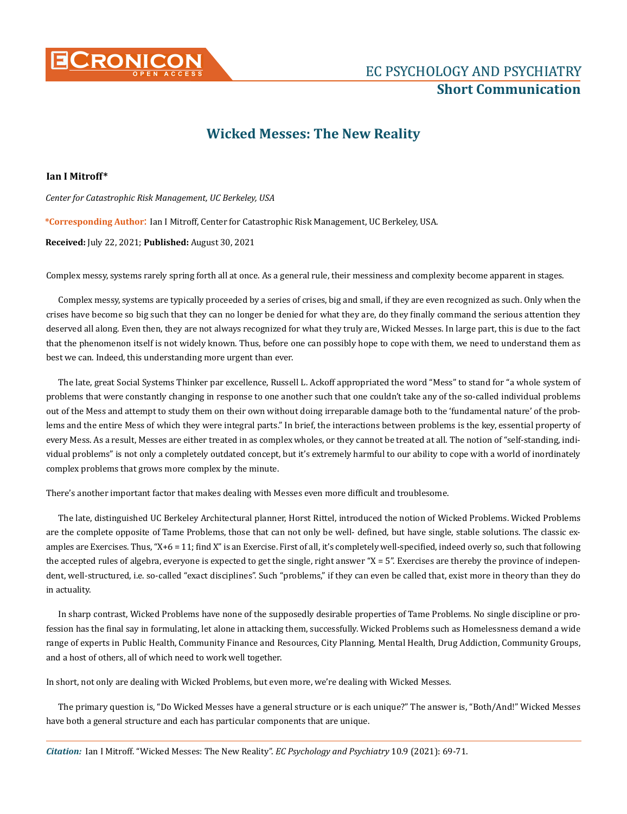

## **Wicked Messes: The New Reality**

## **Ian I Mitroff\***

*Center for Catastrophic Risk Management, UC Berkeley, USA*

**\*Corresponding Author**: Ian I Mitroff, Center for Catastrophic Risk Management, UC Berkeley, USA.

**Received:** July 22, 2021; **Published:** August 30, 2021

Complex messy, systems rarely spring forth all at once. As a general rule, their messiness and complexity become apparent in stages.

Complex messy, systems are typically proceeded by a series of crises, big and small, if they are even recognized as such. Only when the crises have become so big such that they can no longer be denied for what they are, do they finally command the serious attention they deserved all along. Even then, they are not always recognized for what they truly are, Wicked Messes. In large part, this is due to the fact that the phenomenon itself is not widely known. Thus, before one can possibly hope to cope with them, we need to understand them as best we can. Indeed, this understanding more urgent than ever.

The late, great Social Systems Thinker par excellence, Russell L. Ackoff appropriated the word "Mess" to stand for "a whole system of problems that were constantly changing in response to one another such that one couldn't take any of the so-called individual problems out of the Mess and attempt to study them on their own without doing irreparable damage both to the 'fundamental nature' of the problems and the entire Mess of which they were integral parts." In brief, the interactions between problems is the key, essential property of every Mess. As a result, Messes are either treated in as complex wholes, or they cannot be treated at all. The notion of "self-standing, individual problems" is not only a completely outdated concept, but it's extremely harmful to our ability to cope with a world of inordinately complex problems that grows more complex by the minute.

There's another important factor that makes dealing with Messes even more difficult and troublesome.

The late, distinguished UC Berkeley Architectural planner, Horst Rittel, introduced the notion of Wicked Problems. Wicked Problems are the complete opposite of Tame Problems, those that can not only be well- defined, but have single, stable solutions. The classic examples are Exercises. Thus, "X+6 = 11; find X" is an Exercise. First of all, it's completely well-specified, indeed overly so, such that following the accepted rules of algebra, everyone is expected to get the single, right answer "X = 5". Exercises are thereby the province of independent, well-structured, i.e. so-called "exact disciplines". Such "problems," if they can even be called that, exist more in theory than they do in actuality.

In sharp contrast, Wicked Problems have none of the supposedly desirable properties of Tame Problems. No single discipline or profession has the final say in formulating, let alone in attacking them, successfully. Wicked Problems such as Homelessness demand a wide range of experts in Public Health, Community Finance and Resources, City Planning, Mental Health, Drug Addiction, Community Groups, and a host of others, all of which need to work well together.

In short, not only are dealing with Wicked Problems, but even more, we're dealing with Wicked Messes.

The primary question is, "Do Wicked Messes have a general structure or is each unique?" The answer is, "Both/And!" Wicked Messes have both a general structure and each has particular components that are unique.

*Citation:* Ian I Mitroff*.* "Wicked Messes: The New Reality". *EC Psychology and Psychiatry* 10.9 (2021): 69-71.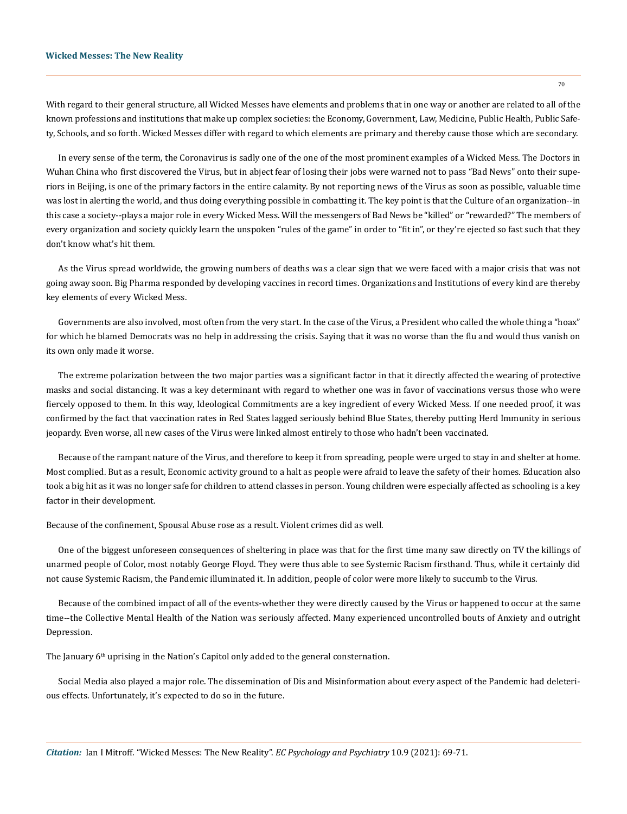With regard to their general structure, all Wicked Messes have elements and problems that in one way or another are related to all of the known professions and institutions that make up complex societies: the Economy, Government, Law, Medicine, Public Health, Public Safety, Schools, and so forth. Wicked Messes differ with regard to which elements are primary and thereby cause those which are secondary.

In every sense of the term, the Coronavirus is sadly one of the one of the most prominent examples of a Wicked Mess. The Doctors in Wuhan China who first discovered the Virus, but in abject fear of losing their jobs were warned not to pass "Bad News" onto their superiors in Beijing, is one of the primary factors in the entire calamity. By not reporting news of the Virus as soon as possible, valuable time was lost in alerting the world, and thus doing everything possible in combatting it. The key point is that the Culture of an organization--in this case a society--plays a major role in every Wicked Mess. Will the messengers of Bad News be "killed" or "rewarded?" The members of every organization and society quickly learn the unspoken "rules of the game" in order to "fit in", or they're ejected so fast such that they don't know what's hit them.

As the Virus spread worldwide, the growing numbers of deaths was a clear sign that we were faced with a major crisis that was not going away soon. Big Pharma responded by developing vaccines in record times. Organizations and Institutions of every kind are thereby key elements of every Wicked Mess.

Governments are also involved, most often from the very start. In the case of the Virus, a President who called the whole thing a "hoax" for which he blamed Democrats was no help in addressing the crisis. Saying that it was no worse than the flu and would thus vanish on its own only made it worse.

The extreme polarization between the two major parties was a significant factor in that it directly affected the wearing of protective masks and social distancing. It was a key determinant with regard to whether one was in favor of vaccinations versus those who were fiercely opposed to them. In this way, Ideological Commitments are a key ingredient of every Wicked Mess. If one needed proof, it was confirmed by the fact that vaccination rates in Red States lagged seriously behind Blue States, thereby putting Herd Immunity in serious jeopardy. Even worse, all new cases of the Virus were linked almost entirely to those who hadn't been vaccinated.

Because of the rampant nature of the Virus, and therefore to keep it from spreading, people were urged to stay in and shelter at home. Most complied. But as a result, Economic activity ground to a halt as people were afraid to leave the safety of their homes. Education also took a big hit as it was no longer safe for children to attend classes in person. Young children were especially affected as schooling is a key factor in their development.

Because of the confinement, Spousal Abuse rose as a result. Violent crimes did as well.

One of the biggest unforeseen consequences of sheltering in place was that for the first time many saw directly on TV the killings of unarmed people of Color, most notably George Floyd. They were thus able to see Systemic Racism firsthand. Thus, while it certainly did not cause Systemic Racism, the Pandemic illuminated it. In addition, people of color were more likely to succumb to the Virus.

Because of the combined impact of all of the events-whether they were directly caused by the Virus or happened to occur at the same time--the Collective Mental Health of the Nation was seriously affected. Many experienced uncontrolled bouts of Anxiety and outright Depression.

The January  $6<sup>th</sup>$  uprising in the Nation's Capitol only added to the general consternation.

Social Media also played a major role. The dissemination of Dis and Misinformation about every aspect of the Pandemic had deleterious effects. Unfortunately, it's expected to do so in the future.

*Citation:* Ian I Mitroff*.* "Wicked Messes: The New Reality". *EC Psychology and Psychiatry* 10.9 (2021): 69-71.

70